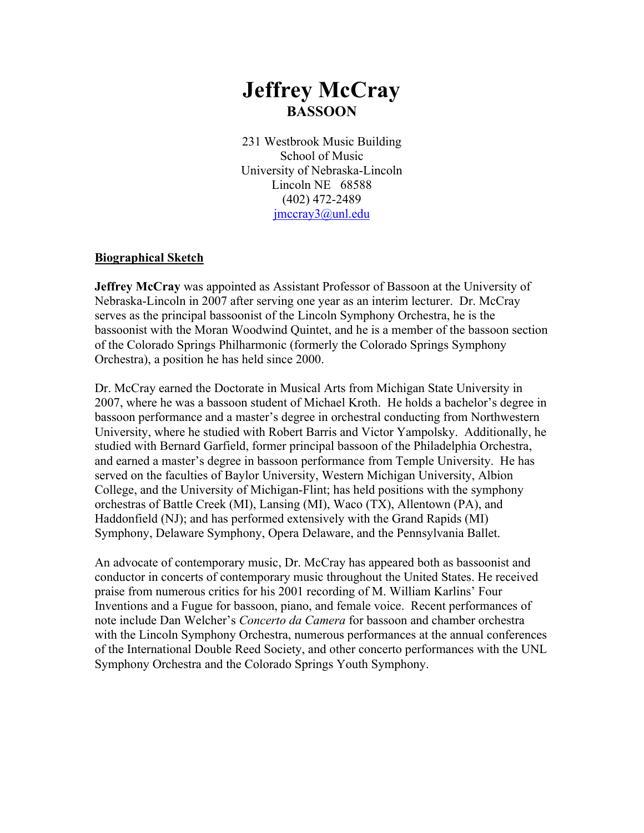# **Jeffrey McCray BASSOON**

231 Westbrook Music Building School of Music University of Nebraska-Lincoln Lincoln NE 68588 (402) 472-2489 imccray3@unl.edu

### **Biographical Sketch**

**Jeffrey McCray** was appointed as Assistant Professor of Bassoon at the University of Nebraska-Lincoln in 2007 after serving one year as an interim lecturer. Dr. McCray serves as the principal bassoonist of the Lincoln Symphony Orchestra, he is the bassoonist with the Moran Woodwind Quintet, and he is a member of the bassoon section of the Colorado Springs Philharmonic (formerly the Colorado Springs Symphony Orchestra), a position he has held since 2000.

Dr. McCray earned the Doctorate in Musical Arts from Michigan State University in 2007, where he was a bassoon student of Michael Kroth. He holds a bachelor's degree in bassoon performance and a master's degree in orchestral conducting from Northwestern University, where he studied with Robert Barris and Victor Yampolsky. Additionally, he studied with Bernard Garfield, former principal bassoon of the Philadelphia Orchestra, and earned a master's degree in bassoon performance from Temple University. He has served on the faculties of Baylor University, Western Michigan University, Albion College, and the University of Michigan-Flint; has held positions with the symphony orchestras of Battle Creek (MI), Lansing (MI), Waco (TX), Allentown (PA), and Haddonfield (NJ); and has performed extensively with the Grand Rapids (MI) Symphony, Delaware Symphony, Opera Delaware, and the Pennsylvania Ballet.

An advocate of contemporary music, Dr. McCray has appeared both as bassoonist and conductor in concerts of contemporary music throughout the United States. He received praise from numerous critics for his 2001 recording of M. William Karlins' Four Inventions and a Fugue for bassoon, piano, and female voice. Recent performances of note include Dan Welcher's *Concerto da Camera* for bassoon and chamber orchestra with the Lincoln Symphony Orchestra, numerous performances at the annual conferences of the International Double Reed Society, and other concerto performances with the UNL Symphony Orchestra and the Colorado Springs Youth Symphony.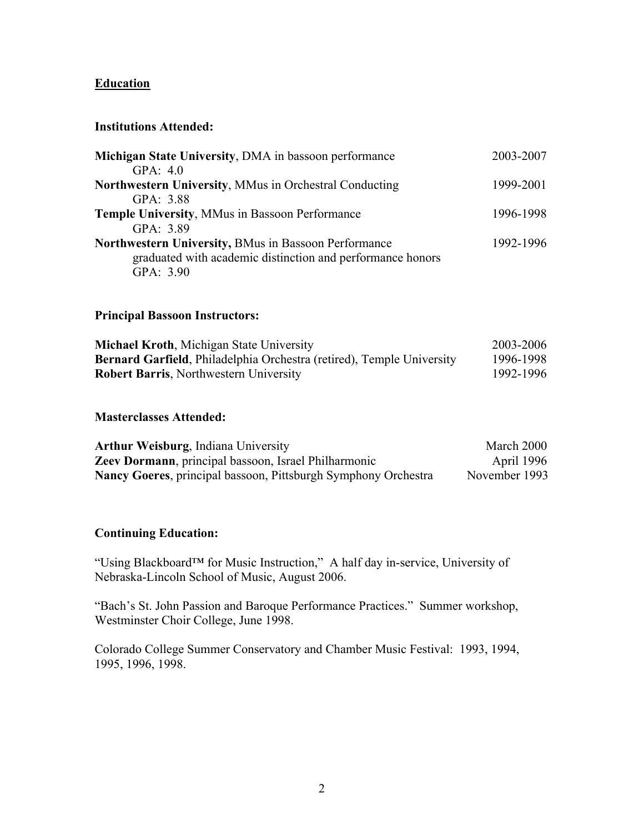## **Education**

#### **Institutions Attended:**

| Michigan State University, DMA in bassoon performance       | 2003-2007 |
|-------------------------------------------------------------|-----------|
| GPA: $4.0$                                                  |           |
| Northwestern University, MMus in Orchestral Conducting      | 1999-2001 |
| GPA: 3.88                                                   |           |
| <b>Temple University, MMus in Bassoon Performance</b>       | 1996-1998 |
| GPA: 3.89                                                   |           |
| <b>Northwestern University, BMus in Bassoon Performance</b> | 1992-1996 |
| graduated with academic distinction and performance honors  |           |
| GPA: 3.90                                                   |           |
|                                                             |           |

#### **Principal Bassoon Instructors:**

| <b>Michael Kroth, Michigan State University</b>                              | 2003-2006 |
|------------------------------------------------------------------------------|-----------|
| <b>Bernard Garfield, Philadelphia Orchestra (retired), Temple University</b> | 1996-1998 |
| <b>Robert Barris, Northwestern University</b>                                | 1992-1996 |

#### **Masterclasses Attended:**

| <b>Arthur Weisburg, Indiana University</b>                     | March 2000    |
|----------------------------------------------------------------|---------------|
| <b>Zeev Dormann</b> , principal bassoon, Israel Philharmonic   | April 1996    |
| Nancy Goeres, principal bassoon, Pittsburgh Symphony Orchestra | November 1993 |

## **Continuing Education:**

"Using Blackboard™ for Music Instruction," A half day in-service, University of Nebraska-Lincoln School of Music, August 2006.

"Bach's St. John Passion and Baroque Performance Practices." Summer workshop, Westminster Choir College, June 1998.

Colorado College Summer Conservatory and Chamber Music Festival: 1993, 1994, 1995, 1996, 1998.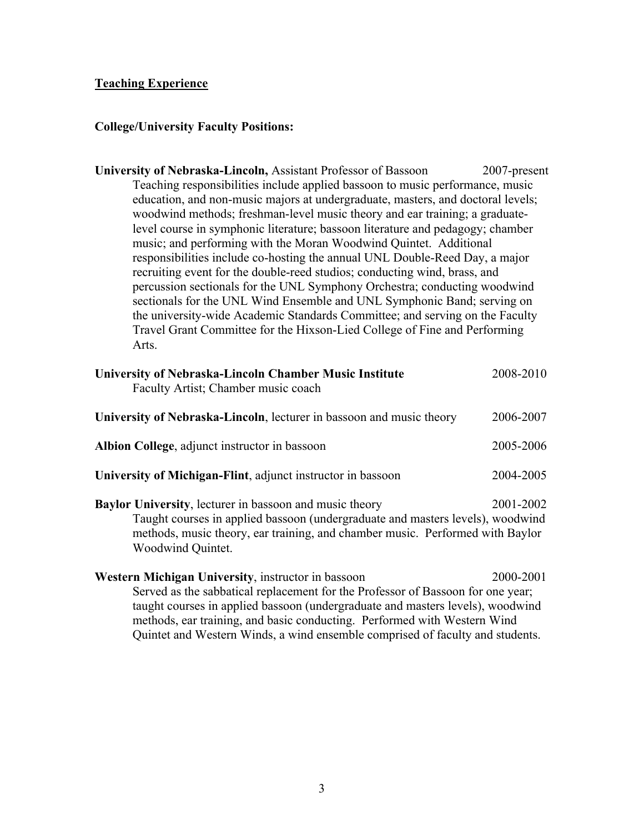## **Teaching Experience**

## **College/University Faculty Positions:**

| University of Nebraska-Lincoln, Assistant Professor of Bassoon                  | 2007-present |
|---------------------------------------------------------------------------------|--------------|
| Teaching responsibilities include applied bassoon to music performance, music   |              |
| education, and non-music majors at undergraduate, masters, and doctoral levels; |              |
| woodwind methods; freshman-level music theory and ear training; a graduate-     |              |
| level course in symphonic literature; bassoon literature and pedagogy; chamber  |              |
| music; and performing with the Moran Woodwind Quintet. Additional               |              |
| responsibilities include co-hosting the annual UNL Double-Reed Day, a major     |              |
| recruiting event for the double-reed studios; conducting wind, brass, and       |              |
| percussion sectionals for the UNL Symphony Orchestra; conducting woodwind       |              |
| sectionals for the UNL Wind Ensemble and UNL Symphonic Band; serving on         |              |
| the university-wide Academic Standards Committee; and serving on the Faculty    |              |
| Travel Grant Committee for the Hixson-Lied College of Fine and Performing       |              |
| Arts                                                                            |              |
|                                                                                 |              |

| University of Nebraska-Lincoln Chamber Music Institute<br>Faculty Artist; Chamber music coach                                                                                                                                                          | 2008-2010 |
|--------------------------------------------------------------------------------------------------------------------------------------------------------------------------------------------------------------------------------------------------------|-----------|
| University of Nebraska-Lincoln, lecturer in bassoon and music theory                                                                                                                                                                                   | 2006-2007 |
| Albion College, adjunct instructor in bassoon                                                                                                                                                                                                          | 2005-2006 |
| University of Michigan-Flint, adjunct instructor in bassoon                                                                                                                                                                                            | 2004-2005 |
| <b>Baylor University, lecturer in bassoon and music theory</b><br>Taught courses in applied bassoon (undergraduate and masters levels), woodwind<br>methods, music theory, ear training, and chamber music. Performed with Baylor<br>Woodwind Quintet. | 2001-2002 |
| Western Michigan University, instructor in bassoon<br>Served as the sabbatical replacement for the Professor of Bassoon for one year;                                                                                                                  | 2000-2001 |

taught courses in applied bassoon (undergraduate and masters levels), woodwind methods, ear training, and basic conducting. Performed with Western Wind Quintet and Western Winds, a wind ensemble comprised of faculty and students.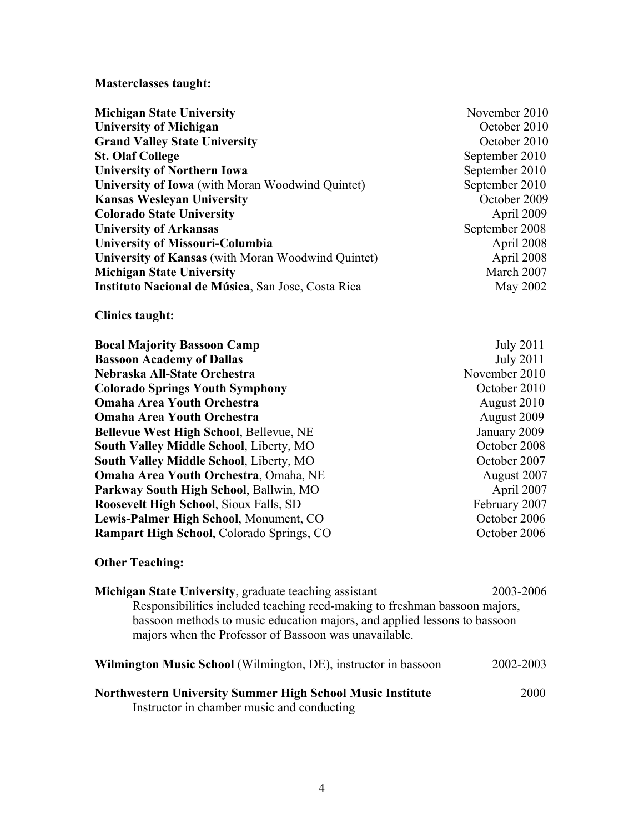## **Masterclasses taught:**

| <b>Michigan State University</b>                          | November 2010  |
|-----------------------------------------------------------|----------------|
| <b>University of Michigan</b>                             | October 2010   |
| <b>Grand Valley State University</b>                      | October 2010   |
| <b>St. Olaf College</b>                                   | September 2010 |
| <b>University of Northern Iowa</b>                        | September 2010 |
| University of Iowa (with Moran Woodwind Quintet)          | September 2010 |
| <b>Kansas Wesleyan University</b>                         | October 2009   |
| <b>Colorado State University</b>                          | April 2009     |
| <b>University of Arkansas</b>                             | September 2008 |
| <b>University of Missouri-Columbia</b>                    | April 2008     |
| <b>University of Kansas</b> (with Moran Woodwind Quintet) | April 2008     |
| <b>Michigan State University</b>                          | March 2007     |
| Instituto Nacional de Música, San Jose, Costa Rica        | May 2002       |

## **Clinics taught:**

| <b>Bocal Majority Bassoon Camp</b>               | <b>July 2011</b> |
|--------------------------------------------------|------------------|
| <b>Bassoon Academy of Dallas</b>                 | July 2011        |
| Nebraska All-State Orchestra                     | November 2010    |
| <b>Colorado Springs Youth Symphony</b>           | October 2010     |
| <b>Omaha Area Youth Orchestra</b>                | August 2010      |
| <b>Omaha Area Youth Orchestra</b>                | August 2009      |
| <b>Bellevue West High School, Bellevue, NE</b>   | January 2009     |
| South Valley Middle School, Liberty, MO          | October 2008     |
| <b>South Valley Middle School, Liberty, MO</b>   | October 2007     |
| <b>Omaha Area Youth Orchestra, Omaha, NE</b>     | August 2007      |
| Parkway South High School, Ballwin, MO           | April 2007       |
| <b>Roosevelt High School, Sioux Falls, SD</b>    | February 2007    |
| Lewis-Palmer High School, Monument, CO           | October 2006     |
| <b>Rampart High School, Colorado Springs, CO</b> | October 2006     |

## **Other Teaching:**

| Michigan State University, graduate teaching assistant                                                          | 2003-2006 |
|-----------------------------------------------------------------------------------------------------------------|-----------|
| Responsibilities included teaching reed-making to freshman bassoon majors,                                      |           |
| bassoon methods to music education majors, and applied lessons to bassoon                                       |           |
| majors when the Professor of Bassoon was unavailable.                                                           |           |
| Wilmington Music School (Wilmington, DE), instructor in bassoon                                                 | 2002-2003 |
| <b>Northwestern University Summer High School Music Institute</b><br>Instructor in chamber music and conducting | 2000      |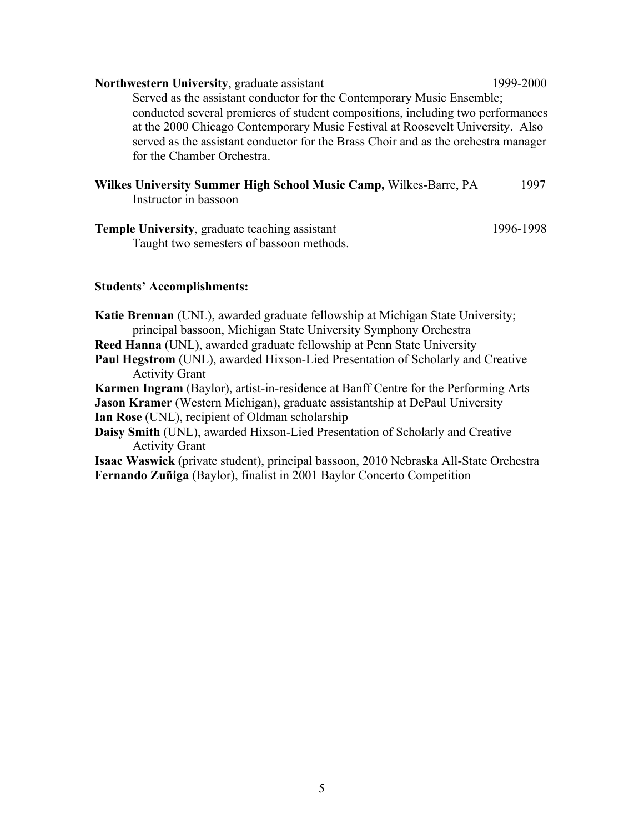| Northwestern University, graduate assistant                                        | 1999-2000 |
|------------------------------------------------------------------------------------|-----------|
| Served as the assistant conductor for the Contemporary Music Ensemble;             |           |
| conducted several premieres of student compositions, including two performances    |           |
| at the 2000 Chicago Contemporary Music Festival at Roosevelt University. Also      |           |
| served as the assistant conductor for the Brass Choir and as the orchestra manager |           |
| for the Chamber Orchestra.                                                         |           |

| Wilkes University Summer High School Music Camp, Wilkes-Barre, PA | 1997 |
|-------------------------------------------------------------------|------|
| Instructor in bassoon                                             |      |

| <b>Temple University, graduate teaching assistant</b> | 1996-1998 |
|-------------------------------------------------------|-----------|
| Taught two semesters of bassoon methods.              |           |

## **Students' Accomplishments:**

**Katie Brennan** (UNL), awarded graduate fellowship at Michigan State University; principal bassoon, Michigan State University Symphony Orchestra **Reed Hanna** (UNL), awarded graduate fellowship at Penn State University **Paul Hegstrom** (UNL), awarded Hixson-Lied Presentation of Scholarly and Creative Activity Grant **Karmen Ingram** (Baylor), artist-in-residence at Banff Centre for the Performing Arts **Jason Kramer** (Western Michigan), graduate assistantship at DePaul University **Ian Rose** (UNL), recipient of Oldman scholarship **Daisy Smith** (UNL), awarded Hixson-Lied Presentation of Scholarly and Creative Activity Grant **Isaac Waswick** (private student), principal bassoon, 2010 Nebraska All-State Orchestra **Fernando Zuñiga** (Baylor), finalist in 2001 Baylor Concerto Competition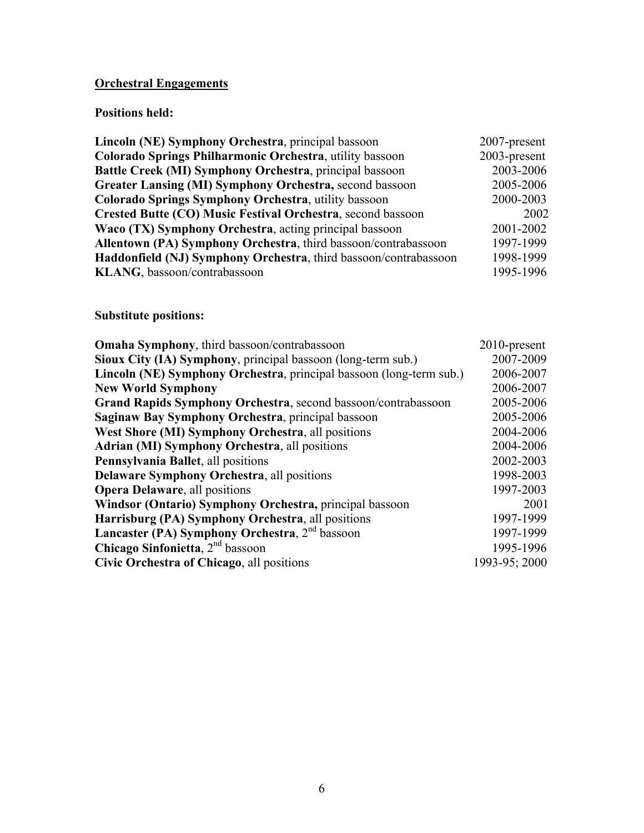## **Orchestral Engagements**

## **Positions held:**

| Lincoln (NE) Symphony Orchestra, principal bassoon               | 2007-present |
|------------------------------------------------------------------|--------------|
| Colorado Springs Philharmonic Orchestra, utility bassoon         | 2003-present |
| Battle Creek (MI) Symphony Orchestra, principal bassoon          | 2003-2006    |
| Greater Lansing (MI) Symphony Orchestra, second bassoon          | 2005-2006    |
| Colorado Springs Symphony Orchestra, utility bassoon             | 2000-2003    |
| Crested Butte (CO) Music Festival Orchestra, second bassoon      | 2002         |
| Waco (TX) Symphony Orchestra, acting principal bassoon           | 2001-2002    |
| Allentown (PA) Symphony Orchestra, third bassoon/contrabassoon   | 1997-1999    |
| Haddonfield (NJ) Symphony Orchestra, third bassoon/contrabassoon | 1998-1999    |
| <b>KLANG</b> , bassoon/contrabassoon                             | 1995-1996    |

## **Substitute positions:**

| <b>Omaha Symphony</b> , third bassoon/contrabassoon                 | $2010$ -present |
|---------------------------------------------------------------------|-----------------|
| Sioux City (IA) Symphony, principal bassoon (long-term sub.)        | 2007-2009       |
| Lincoln (NE) Symphony Orchestra, principal bassoon (long-term sub.) | 2006-2007       |
| <b>New World Symphony</b>                                           | 2006-2007       |
| Grand Rapids Symphony Orchestra, second bassoon/contrabassoon       | 2005-2006       |
| Saginaw Bay Symphony Orchestra, principal bassoon                   | 2005-2006       |
| West Shore (MI) Symphony Orchestra, all positions                   | 2004-2006       |
| <b>Adrian (MI) Symphony Orchestra, all positions</b>                | 2004-2006       |
| Pennsylvania Ballet, all positions                                  | 2002-2003       |
| Delaware Symphony Orchestra, all positions                          | 1998-2003       |
| <b>Opera Delaware</b> , all positions                               | 1997-2003       |
| Windsor (Ontario) Symphony Orchestra, principal bassoon             | 2001            |
| Harrisburg (PA) Symphony Orchestra, all positions                   | 1997-1999       |
| Lancaster (PA) Symphony Orchestra, 2 <sup>nd</sup> bassoon          | 1997-1999       |
| Chicago Sinfonietta, $2nd$ bassoon                                  | 1995-1996       |
| Civic Orchestra of Chicago, all positions                           | 1993-95; 2000   |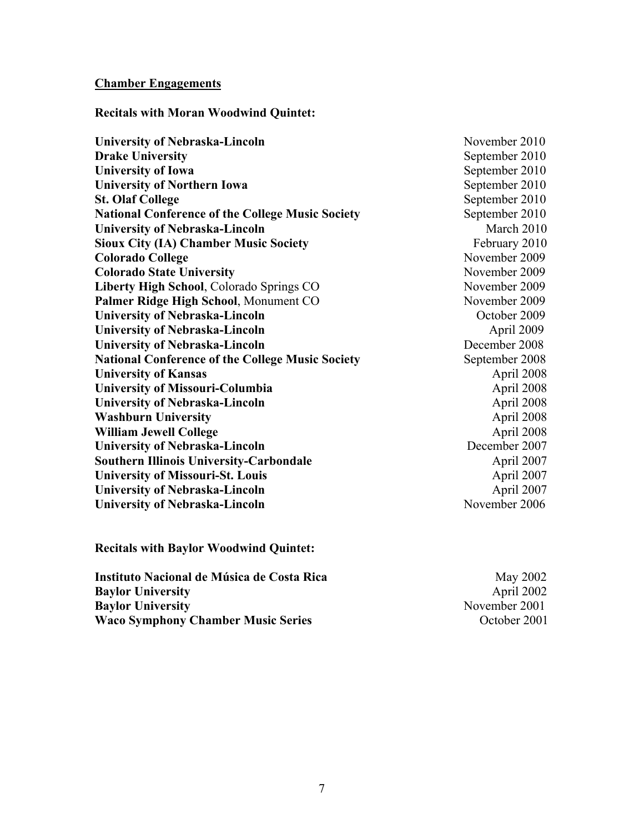#### **Chamber Engagements**

**Recitals with Moran Woodwind Quintet:**

**University of Nebraska-Lincoln November 2010 November 2010 Drake University** September 2010 **University of Iowa September 2010** University of Northern Iowa **September 2010 St. Olaf College September 2010 National Conference of the College Music Society September 2010 University of Nebraska-Lincoln** March 2010 **Sioux City (IA) Chamber Music Society** February 2010 **Colorado College** November 2009 **Colorado State University** November 2009 **Liberty High School**, Colorado Springs CO November 2009 **Palmer Ridge High School**, Monument CO November 2009 University of Nebraska-Lincoln **Department Controller 1000** October 2009 University of Nebraska-Lincoln **April 2009 University of Nebraska-Lincoln** December 2008 **National Conference of the College Music Society** September 2008 **University of Kansas** April 2008 University of Missouri-Columbia **April 2008 University of Nebraska-Lincoln April 2008 April 2008 Washburn University April 2008 April 2008 William Jewell College** April 2008 **University of Nebraska-Lincoln** December 2007 **Southern Illinois University-Carbondale** April 2007 University of Missouri-St. Louis **April 2007 University of Nebraska-Lincoln April 2007 April 2007** University of Nebraska-Lincoln **November 2006** 

**Recitals with Baylor Woodwind Quintet:**

**Instituto Nacional de Música de Costa Rica** May 2002 **Baylor University** April 2002 **Baylor University** November 2001 **Waco Symphony Chamber Music Series Constanting Constanting Constanting Constanting Constanting Constanting Constanting Constanting Constanting Constanting Constanting Constanting Constanting Constanting Constanting Cons**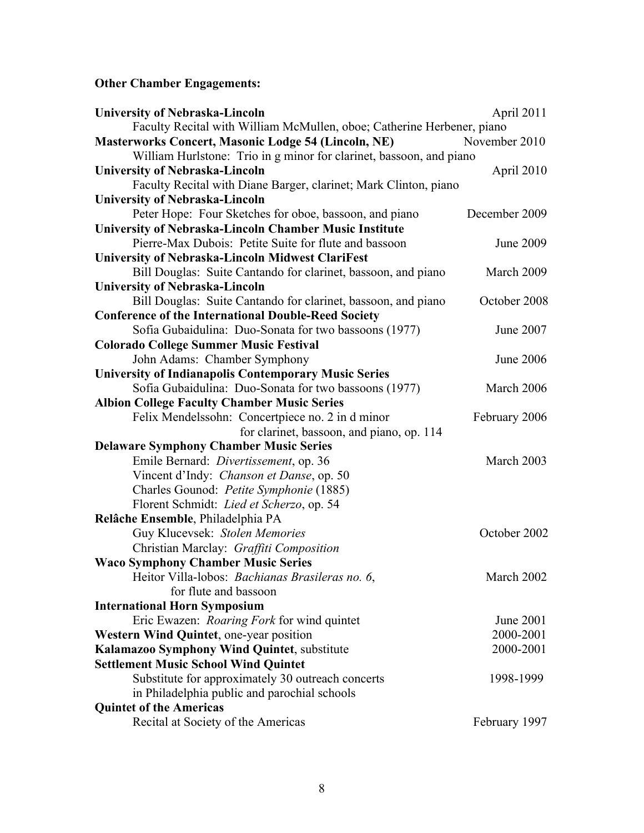## **Other Chamber Engagements:**

| <b>University of Nebraska-Lincoln</b>                                  | April 2011       |
|------------------------------------------------------------------------|------------------|
| Faculty Recital with William McMullen, oboe; Catherine Herbener, piano |                  |
| <b>Masterworks Concert, Masonic Lodge 54 (Lincoln, NE)</b>             | November 2010    |
| William Hurlstone: Trio in g minor for clarinet, bassoon, and piano    |                  |
| <b>University of Nebraska-Lincoln</b>                                  | April 2010       |
| Faculty Recital with Diane Barger, clarinet; Mark Clinton, piano       |                  |
| <b>University of Nebraska-Lincoln</b>                                  |                  |
| Peter Hope: Four Sketches for oboe, bassoon, and piano                 | December 2009    |
| University of Nebraska-Lincoln Chamber Music Institute                 |                  |
| Pierre-Max Dubois: Petite Suite for flute and bassoon                  | June 2009        |
| <b>University of Nebraska-Lincoln Midwest ClariFest</b>                |                  |
| Bill Douglas: Suite Cantando for clarinet, bassoon, and piano          | March 2009       |
| <b>University of Nebraska-Lincoln</b>                                  |                  |
| Bill Douglas: Suite Cantando for clarinet, bassoon, and piano          | October 2008     |
| <b>Conference of the International Double-Reed Society</b>             |                  |
| Sofia Gubaidulina: Duo-Sonata for two bassoons (1977)                  | June 2007        |
| <b>Colorado College Summer Music Festival</b>                          |                  |
| John Adams: Chamber Symphony                                           | <b>June 2006</b> |
| <b>University of Indianapolis Contemporary Music Series</b>            |                  |
| Sofia Gubaidulina: Duo-Sonata for two bassoons (1977)                  | March 2006       |
| <b>Albion College Faculty Chamber Music Series</b>                     |                  |
| Felix Mendelssohn: Concertpiece no. 2 in d minor                       | February 2006    |
| for clarinet, bassoon, and piano, op. 114                              |                  |
| <b>Delaware Symphony Chamber Music Series</b>                          |                  |
| Emile Bernard: <i>Divertissement</i> , op. 36                          | March 2003       |
| Vincent d'Indy: Chanson et Danse, op. 50                               |                  |
| Charles Gounod: Petite Symphonie (1885)                                |                  |
| Florent Schmidt: Lied et Scherzo, op. 54                               |                  |
| Relâche Ensemble, Philadelphia PA                                      |                  |
| Guy Klucevsek: Stolen Memories                                         | October 2002     |
| Christian Marclay: Graffiti Composition                                |                  |
| <b>Waco Symphony Chamber Music Series</b>                              |                  |
| Heitor Villa-lobos: <i>Bachianas Brasileras no.</i> 6,                 | March 2002       |
| for flute and bassoon                                                  |                  |
| <b>International Horn Symposium</b>                                    |                  |
| Eric Ewazen: <i>Roaring Fork</i> for wind quintet                      | June 2001        |
| Western Wind Quintet, one-year position                                | 2000-2001        |
| Kalamazoo Symphony Wind Quintet, substitute                            | 2000-2001        |
| <b>Settlement Music School Wind Quintet</b>                            |                  |
| Substitute for approximately 30 outreach concerts                      | 1998-1999        |
| in Philadelphia public and parochial schools                           |                  |
| <b>Quintet of the Americas</b>                                         |                  |
| Recital at Society of the Americas                                     | February 1997    |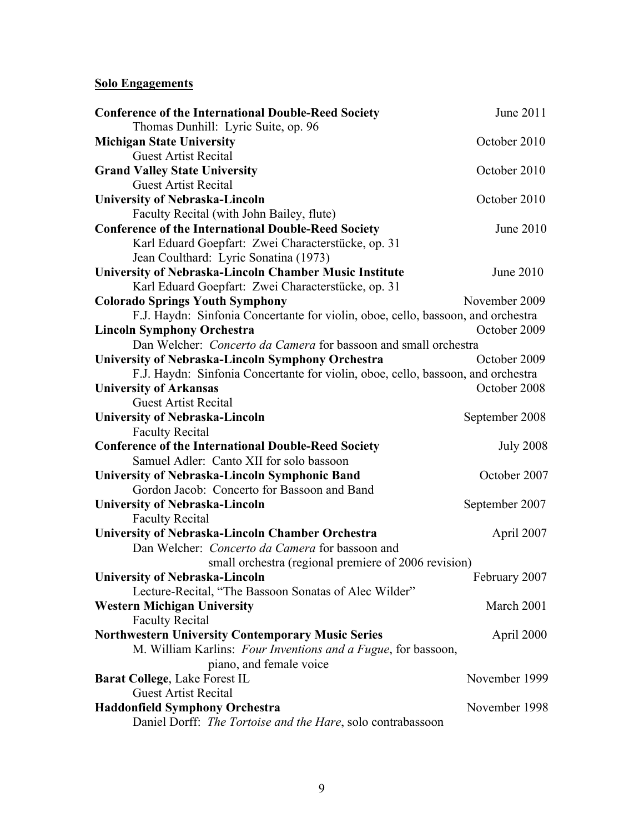## **Solo Engagements**

| <b>Conference of the International Double-Reed Society</b>                       | June 2011        |
|----------------------------------------------------------------------------------|------------------|
| Thomas Dunhill: Lyric Suite, op. 96                                              |                  |
| <b>Michigan State University</b>                                                 | October 2010     |
| <b>Guest Artist Recital</b>                                                      |                  |
| <b>Grand Valley State University</b>                                             | October 2010     |
| <b>Guest Artist Recital</b>                                                      |                  |
| <b>University of Nebraska-Lincoln</b>                                            | October 2010     |
| Faculty Recital (with John Bailey, flute)                                        |                  |
| <b>Conference of the International Double-Reed Society</b>                       | June 2010        |
| Karl Eduard Goepfart: Zwei Characterstücke, op. 31                               |                  |
| Jean Coulthard: Lyric Sonatina (1973)                                            |                  |
| University of Nebraska-Lincoln Chamber Music Institute                           | June 2010        |
| Karl Eduard Goepfart: Zwei Characterstücke, op. 31                               |                  |
| <b>Colorado Springs Youth Symphony</b>                                           | November 2009    |
| F.J. Haydn: Sinfonia Concertante for violin, oboe, cello, bassoon, and orchestra |                  |
| <b>Lincoln Symphony Orchestra</b>                                                | October 2009     |
| Dan Welcher: <i>Concerto da Camera</i> for bassoon and small orchestra           |                  |
| University of Nebraska-Lincoln Symphony Orchestra                                | October 2009     |
| F.J. Haydn: Sinfonia Concertante for violin, oboe, cello, bassoon, and orchestra |                  |
| <b>University of Arkansas</b>                                                    | October 2008     |
| <b>Guest Artist Recital</b>                                                      |                  |
| <b>University of Nebraska-Lincoln</b>                                            | September 2008   |
| <b>Faculty Recital</b>                                                           |                  |
| <b>Conference of the International Double-Reed Society</b>                       | <b>July 2008</b> |
| Samuel Adler: Canto XII for solo bassoon                                         |                  |
| University of Nebraska-Lincoln Symphonic Band                                    | October 2007     |
| Gordon Jacob: Concerto for Bassoon and Band                                      |                  |
| <b>University of Nebraska-Lincoln</b>                                            | September 2007   |
| <b>Faculty Recital</b>                                                           |                  |
| University of Nebraska-Lincoln Chamber Orchestra                                 | April 2007       |
| Dan Welcher: Concerto da Camera for bassoon and                                  |                  |
| small orchestra (regional premiere of 2006 revision)                             |                  |
| <b>University of Nebraska-Lincoln</b>                                            | February 2007    |
| Lecture-Recital, "The Bassoon Sonatas of Alec Wilder"                            |                  |
| <b>Western Michigan University</b>                                               | March 2001       |
| <b>Faculty Recital</b>                                                           |                  |
| <b>Northwestern University Contemporary Music Series</b>                         | April 2000       |
| M. William Karlins: Four Inventions and a Fugue, for bassoon,                    |                  |
| piano, and female voice                                                          |                  |
| <b>Barat College, Lake Forest IL</b>                                             | November 1999    |
| <b>Guest Artist Recital</b>                                                      |                  |
| <b>Haddonfield Symphony Orchestra</b>                                            | November 1998    |
| Daniel Dorff: The Tortoise and the Hare, solo contrabassoon                      |                  |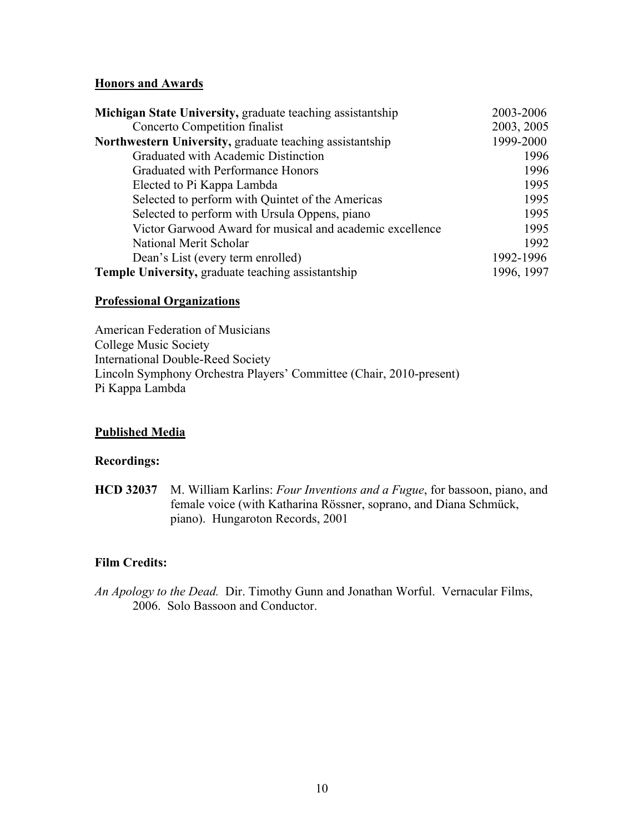### **Honors and Awards**

| Michigan State University, graduate teaching assistantship | 2003-2006  |
|------------------------------------------------------------|------------|
| Concerto Competition finalist                              | 2003, 2005 |
| Northwestern University, graduate teaching assistantship   | 1999-2000  |
| Graduated with Academic Distinction                        | 1996       |
| Graduated with Performance Honors                          | 1996       |
| Elected to Pi Kappa Lambda                                 | 1995       |
| Selected to perform with Quintet of the Americas           | 1995       |
| Selected to perform with Ursula Oppens, piano              | 1995       |
| Victor Garwood Award for musical and academic excellence   | 1995       |
| National Merit Scholar                                     | 1992       |
| Dean's List (every term enrolled)                          | 1992-1996  |
| <b>Temple University, graduate teaching assistantship</b>  | 1996, 1997 |

### **Professional Organizations**

American Federation of Musicians College Music Society International Double-Reed Society Lincoln Symphony Orchestra Players' Committee (Chair, 2010-present) Pi Kappa Lambda

## **Published Media**

### **Recordings:**

**HCD 32037** M. William Karlins: *Four Inventions and a Fugue*, for bassoon, piano, and female voice (with Katharina Rössner, soprano, and Diana Schmück, piano). Hungaroton Records, 2001

### **Film Credits:**

*An Apology to the Dead.* Dir. Timothy Gunn and Jonathan Worful. Vernacular Films, 2006. Solo Bassoon and Conductor.